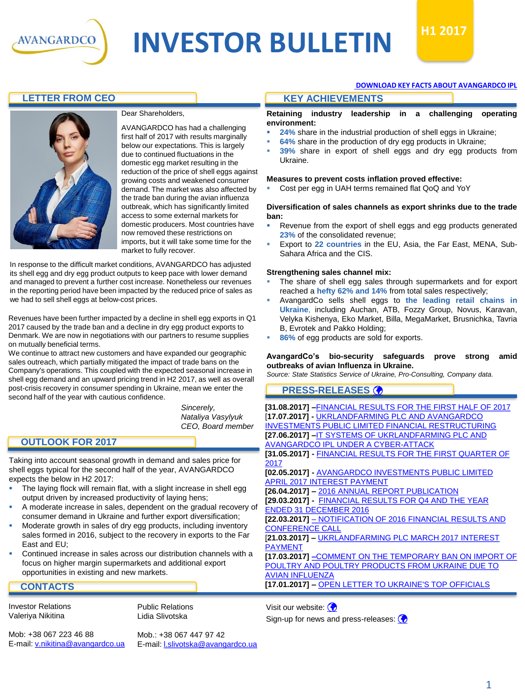

# **INVESTOR BULLETIN**  $H12017$



# **LETTER FROM CEO KEY ACHIEVEMENTS**



### Dear Shareholders,

AVANGARDCO has had a challenging first half of 2017 with results marginally below our expectations. This is largely due to continued fluctuations in the domestic egg market resulting in the reduction of the price of shell eggs against growing costs and weakened consumer demand. The market was also affected by the trade ban during the avian influenza outbreak, which has significantly limited access to some external markets for domestic producers. Most countries have now removed these restrictions on imports, but it will take some time for the market to fully recover.

In response to the difficult market conditions, AVANGARDCO has adjusted its shell egg and dry egg product outputs to keep pace with lower demand and managed to prevent a further cost increase. Nonetheless our revenues in the reporting period have been impacted by the reduced price of sales as we had to sell shell eggs at below-cost prices.

Revenues have been further impacted by a decline in shell egg exports in Q1 2017 caused by the trade ban and a decline in dry egg product exports to Denmark. We are now in negotiations with our partners to resume supplies on mutually beneficial terms.

We continue to attract new customers and have expanded our geographic sales outreach, which partially mitigated the impact of trade bans on the Company's operations. This coupled with the expected seasonal increase in shell egg demand and an upward pricing trend in H2 2017, as well as overall post-crisis recovery in consumer spending in Ukraine, mean we enter the second half of the year with cautious confidence.

> *Sincerely, Nataliya Vasylyuk CEO, Board member*

# **OUTLOOK FOR 2017**

Taking into account seasonal growth in demand and sales price for shell eggs typical for the second half of the year, AVANGARDCO expects the below in H2 2017:

- The laying flock will remain flat, with a slight increase in shell egg output driven by increased productivity of laying hens;
- A moderate increase in sales, dependent on the gradual recovery of consumer demand in Ukraine and further export diversification;
- Moderate growth in sales of dry egg products, including inventory sales formed in 2016, subject to the recovery in exports to the Far East and EU;
- Continued increase in sales across our distribution channels with a focus on higher margin supermarkets and additional export opportunities in existing and new markets.

### **CONTACTS**

Investor Relations Valeriya Nikitina

Public Relations Lidia Slivotska

Mob: +38 067 223 46 88 E-mail: [v.nikitina@avangardco.ua](mailto:ir@avangardco.ua) Mob.: +38 067 447 97 42 E-mail: [l.slivotska@avangardco.ua](mailto:l.slivotska@avangardco.ua)

#### **[DOWNLOAD KEY FACTS ABOUT AVANGARDCO IPL](http://avangardco.ua/en/investor-relations/data-book/fact-sheet/)**

**Retaining industry leadership in a challenging operating environment:**

- 24% share in the industrial production of shell eggs in Ukraine;
- 64% share in the production of dry egg products in Ukraine;
- 39% share in export of shell eggs and dry egg products from Ukraine.

#### **Measures to prevent costs inflation proved effective:**

Cost per egg in UAH terms remained flat QoQ and YoY

#### **Diversification of sales channels as export shrinks due to the trade ban:**

- Revenue from the export of shell eggs and egg products generated **23%** of the consolidated revenue;
- Export to 22 countries in the EU, Asia, the Far East, MENA, Sub-Sahara Africa and the CIS.

#### **Strengthening sales channel mix:**

- The share of shell egg sales through supermarkets and for export reached a **hefty 62% and 14%** from total sales respectively;
- AvangardCo sells shell eggs to **the leading retail chains in Ukraine**, including Auchan, ATB, Fozzy Group, Novus, Karavan, Velyka Kishenya, Eko Market, Billa, MegaMarket, Brusnichka, Tavria B, Evrotek and Pakko Holding;
- 86% of egg products are sold for exports.

#### **AvangardCo's bio-security safeguards prove strong amid outbreaks of avian Influenza in Ukraine.**

*Source: State Statistics Service of Ukraine, Pro-Consulting, Company data.*

## **PRESS-RELEASES**

**[31.08.2017] –**[FINANCIAL RESULTS FOR THE FIRST HALF OF 2017](http://avangardco.ua/en/press-centre/press-releases/detail/financial-results-for-the-first-half-of-2017/) [**17.07.2017] -** UKRLANDFARMING PLC AND AVANGARDCO [INVESTMENTS PUBLIC LIMITED FINANCIAL RESTRUCTURING](http://avangardco.ua/fileadmin/files/PRESS-CENTRE/Press-releases/2017/ULF-AVG_Restructuring_Press_Release.pdf) **[27.06.2017] –**IT SYSTEMS OF UKRLANDFARMING PLC AND [AVANGARDCO IPL UNDER A CYBER-ATTACK](http://avangardco.ua/en/press-centre/press-releases/detail/it-systems-of-ukrlandfarming-plc-and-avangardco-ipl-under-a-cyber-attack/) **[31.05.2017] -** [FINANCIAL RESULTS FOR THE FIRST QUARTER OF](http://avangardco.ua/en/press-centre/press-releases/detail/financial-results-for-the-first-quarter-of-2017/) 2017 **[02.05.2017] -** [AVANGARDCO INVESTMENTS PUBLIC LIMITED](http://avangardco.ua/en/press-centre/press-releases/detail/avangardco-investments-public-limited-april-2017-interest-payment/) APRIL 2017 INTEREST PAYMENT **[26.04.2017] –** [2016 ANNUAL REPORT PUBLICATION](http://avangardco.ua/fileadmin/files/PRESS-CENTRE/Press-releases/2017/AVGR_2016_Annual_Report_Publication_ENG_Final.pdf) **[29.03.2017] -** [FINANCIAL RESULTS FOR Q4 AND THE YEAR](http://avangardco.ua/fileadmin/files/PRESS-CENTRE/Press-releases/2017/AVGR_FS_2016_ENG_Final.pdf)  ENDED 31 DECEMBER 2016 **[22.03.2017]** – [NOTIFICATION OF 2016 FINANCIAL RESULTS AND](http://avangardco.ua/en/press-centre/press-releases/detail/notification-of-2016-financial-results-and-conference-call/) CONFERENCE CALL [**21.03.2017] –** [UKRLANDFARMING PLC MARCH 2017 INTEREST](http://avangardco.ua/fileadmin/files/PRESS-CENTRE/Press-releases/2017/ULF_AVG_Interest_Payment_Press_Release.pdf)  PAYMENT **[17.03.2017] –**[COMMENT ON THE TEMPORARY BAN ON IMPORT OF](http://avangardco.ua/en/press-centre/press-releases/detail/financial-results-for-q4-and-the-year-ended-31-december-2015/)  [POULTRY AND POULTRY PRODUCTS FROM UKRAINE DUE TO](http://avangardco.ua/en/press-centre/press-releases/detail/comment-on-the-temporary-ban-on-import-of-poultry-and-poultry-products-from-ukraine-due-to-avian-influenza/)  AVIAN INFLUENZA **[17.01.2017] –** [OPEN LETTER TO UKRAINE'S TOP OFFICIALS](http://avangardco.ua/en/press-centre/press-releases/detail/open-letter-to-ukraines-top-officials/)

Visit our website:  $\bigcirc$ Sign-up for news and press-releases:  $\circledbullet$ 

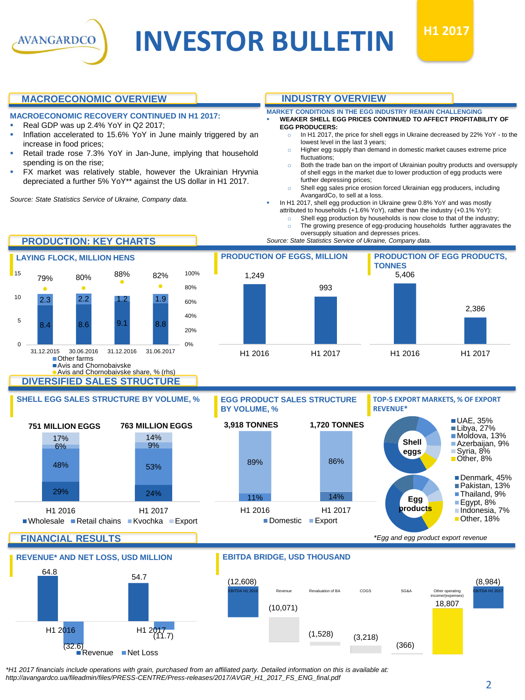

# **INVESTOR BULLETIN**  $H1 2017$



# **MACROECONOMIC OVERVIEW**

- **MACROECONOMIC RECOVERY CONTINUED IN H1 2017:**
- Real GDP was up 2.4% YoY in Q2 2017;
- Inflation accelerated to 15.6% YoY in June mainly triggered by an increase in food prices;
- Retail trade rose 7.3% YoY in Jan-June, implying that household spending is on the rise;
- FX market was relatively stable, however the Ukrainian Hryvnia depreciated a further 5% YoY\*\* against the US dollar in H1 2017.

*Source: State Statistics Service of Ukraine, Company data.*

# **INDUSTRY OVERVIEW**

### **MARKET CONDITIONS IN THE EGG INDUSTRY REMAIN CHALLENGING**

- **WEAKER SHELL EGG PRICES CONTINUED TO AFFECT PROFITABILITY OF EGG PRODUCERS:**
	- In H1 2017, the price for shell eggs in Ukraine decreased by 22% YoY to the lowest level in the last 3 years;
	- o Higher egg supply than demand in domestic market causes extreme price fluctuations;
	- Both the trade ban on the import of Ukrainian poultry products and oversupply of shell eggs in the market due to lower production of egg products were further depressing prices;
- Shell egg sales price erosion forced Ukrainian egg producers, including AvangardCo, to sell at a loss.

In H1 2017, shell egg production in Ukraine grew 0.8% YoY and was mostly attributed to households (+1.6% YoY), rather than the industry (+0.1% YoY):

- Shell egg production by households is now close to that of the industry;
- The growing presence of egg-producing households further aggravates the

oversupply situation and depresses prices.<br>Source: State Statistics Service of Ukraine, Company data.



*\*H1 2017 financials include operations with grain, purchased from an affiliated party. Detailed information on this is available at: http://avangardco.ua/fileadmin/files/PRESS-CENTRE/Press-releases/2017/AVGR\_H1\_2017\_FS\_ENG\_final.pdf*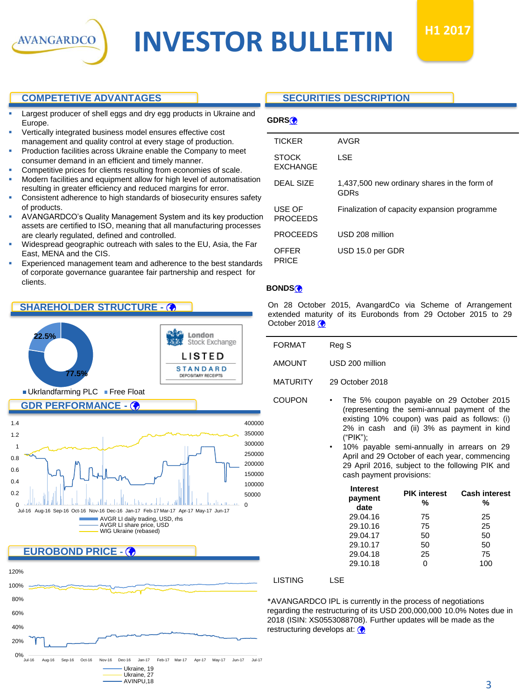

# **INVESTOR BULLETIN**

# **COMPETETIVE ADVANTAGES**

- Largest producer of shell eggs and dry egg products in Ukraine and Europe.
- Vertically integrated business model ensures effective cost management and quality control at every stage of production.
- Production facilities across Ukraine enable the Company to meet consumer demand in an efficient and timely manner.
- Competitive prices for clients resulting from economies of scale.
- Modern facilities and equipment allow for high level of automatisation resulting in greater efficiency and reduced margins for error.
- Consistent adherence to high standards of biosecurity ensures safety of products.
- AVANGARDCO's Quality Management System and its key production assets are certified to ISO, meaning that all manufacturing processes are clearly regulated, defined and controlled.
- Widespread geographic outreach with sales to the EU, Asia, the Far East, MENA and the CIS.
- Experienced management team and adherence to the best standards of corporate governance guarantee fair partnership and respect for clients.

# **SHAREHOLDER STRUCTURE -**





# **SECURITIES DESCRIPTION**

| г<br>н. |
|---------|
|---------|

| AVGR                                                 |
|------------------------------------------------------|
| LSE                                                  |
| 1,437,500 new ordinary shares in the form of<br>GDRs |
| Finalization of capacity expansion programme         |
| USD 208 million                                      |
| USD 15.0 per GDR                                     |
|                                                      |

### **BONDS**

On 28 October 2015, AvangardCo via Scheme of Arrangement extended maturity of its Eurobonds from 29 October 2015 to 29 October 2018 $\circledast$ 

| <b>FORMAT</b>   | Reg S                                                                                                                                                                                  |  |  |
|-----------------|----------------------------------------------------------------------------------------------------------------------------------------------------------------------------------------|--|--|
| <b>AMOUNT</b>   | USD 200 million                                                                                                                                                                        |  |  |
| <b>MATURITY</b> | 29 October 2018                                                                                                                                                                        |  |  |
| <b>COUPON</b>   | The 5% coupon payable on 29 October 2015<br>(representing the semi-annual payment of the<br>existing 10% coupon) was paid as follows: (i)<br>2% in cash and (ii) 3% as payment in kind |  |  |

("PIK"); • 10% payable semi-annually in arrears on 29 April and 29 October of each year, commencing 29 April 2016, subject to the following PIK and cash payment provisions:

| <b>PIK interest</b><br>% | <b>Cash interest</b><br>% |
|--------------------------|---------------------------|
| 75                       | 25                        |
| 75                       | 25                        |
| 50                       | 50                        |
| 50                       | 50                        |
| 25                       | 75                        |
|                          | 100                       |
|                          |                           |

#### LISTING LSE

\*AVANGARDCO IPL is currently in the process of negotiations regarding the restructuring of its USD 200,000,000 10.0% Notes due in 2018 (ISIN: XS0553088708). Further updates will be made as the restructuring develops at: (